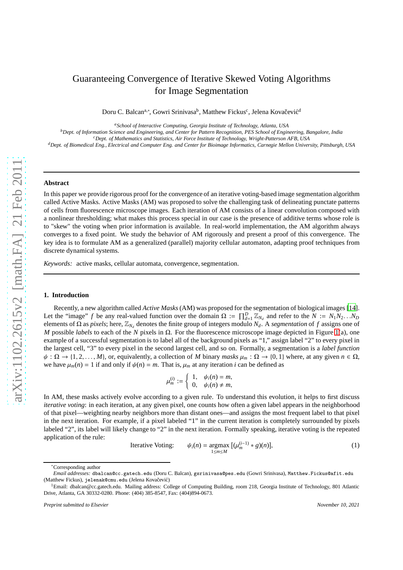# Guaranteeing Convergence of Iterative Skewed Voting Algorithms for Image Segmentation

Doru C. Balcan<sup>a,∗</sup>, Gowri Srinivasa<sup>b</sup>, Matthew Fickus<sup>c</sup>, Jelena Kovačević<sup>d</sup>

*<sup>a</sup>School of Interactive Computing, Georgia Institute of Technology, Atlanta, USA*

*<sup>b</sup>Dept. of Information Science and Engineering, and Center for Pattern Recognition, PES School of Engineering, Bangalore, India*

*<sup>c</sup>Dept. of Mathematics and Statistics, Air Force Institute of Technology, Wright-Patterson AFB, USA*

*<sup>d</sup>Dept. of Biomedical Eng., Electrical and Computer Eng. and Center for Bioimage Informatics, Carnegie Mellon University, Pittsburgh, USA*

#### **Abstract**

In this paper we provide rigorous proof for the convergence of an iterative voting-based image segmentation algorithm called Active Masks. Active Masks (AM) was proposed to solve the challenging task of delineating punctate patterns of cells from fluorescence microscope images. Each iteration of AM consists of a linear convolution composed with a nonlinear thresholding; what makes this process special in our case is the presence of additive terms whose role is to "skew" the voting when prior information is available. In real-world implementation, the AM algorithm always converges to a fixed point. We study the behavior of AM rigorously and present a proof of this convergence. The key idea is to formulate AM as a generalized (parallel) majority cellular automaton, adapting proof techniques from discrete dynamical systems.

*Keywords:* active masks, cellular automata, convergence, segmentation.

# **1. Introduction**

Recently, a new algorithm called *Active Masks* (AM) was proposed for the segmentation of biological images [\[14](#page-9-0)]. Let the "image" *f* be any real-valued function over the domain  $\Omega := \prod_{d=1}^D \mathbb{Z}_{N_d}$  and refer to the  $N := N_1 N_2 \dots N_D$ elements of Ω as *pixels*; here,  $\mathbb{Z}_{N_d}$  denotes the finite group of integers modulo  $N_d$ . A *segmentation* of *f* assigns one of *M* possible *labels* to each of the *N* pixels in Ω. For the fluorescence microscope image depicted in Figure [1\(](#page-2-0)a), one example of a successful segmentation is to label all of the background pixels as "1," assign label "2" to every pixel in the largest cell, "3" to every pixel in the second largest cell, and so on. Formally, a segmentation is a *label function*  $\psi : \Omega \to \{1, 2, \ldots, M\}$ , or, equivalently, a collection of *M* binary *masks*  $\mu_m : \Omega \to \{0, 1\}$  where, at any given  $n \in \Omega$ , we have  $\mu_m(n) = 1$  if and only if  $\psi(n) = m$ . That is,  $\mu_m$  at any iteration *i* can be defined as

$$
\mu_m^{(i)} := \left\{ \begin{array}{ll} 1, & \psi_i(n) = m, \\ 0, & \psi_i(n) \neq m, \end{array} \right.
$$

In AM, these masks actively evolve according to a given rule. To understand this evolution, it helps to first discuss *iterative voting*: in each iteration, at any given pixel, one counts how often a given label appears in the neighborhood of that pixel—weighting nearby neighbors more than distant ones—and assigns the most frequent label to that pixel in the next iteration. For example, if a pixel labeled "1" in the current iteration is completely surrounded by pixels labeled "2", its label will likely change to "2" in the next iteration. Formally speaking, iterative voting is the repeated application of the rule:

<span id="page-0-0"></span>Iterative Voting: 
$$
\psi_i(n) = \underset{1 \le m \le M}{\text{argmax}} \left[ (\mu_m^{(i-1)} * g)(n) \right],
$$
 (1)

<sup>∗</sup>Corresponding author

*Email addresses:* dbalcan@cc.gatech.edu (Doru C. Balcan), gsrinivasa@pes.edu (Gowri Srinivasa), Matthew.Fickus@afit.edu (Matthew Fickus), jelenak@cmu.edu (Jelena Kovačević)

<sup>&</sup>lt;sup>1</sup>Email: dbalcan@cc.gatech.edu. Mailing address: College of Computing Building, room 218, Georgia Institute of Technology, 801 Atlantic Drive, Atlanta, GA 30332-0280. Phone: (404) 385-8547, Fax: (404)894-0673.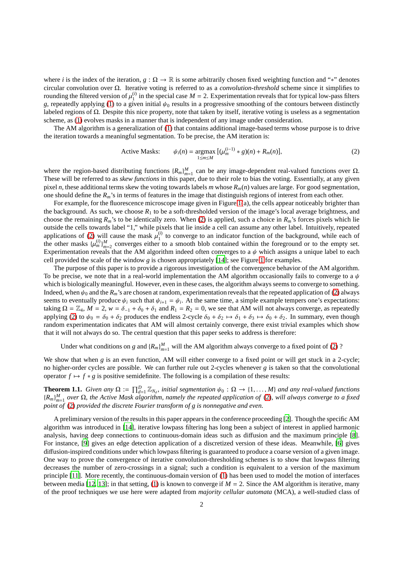where *i* is the index of the iteration,  $g : \Omega \to \mathbb{R}$  is some arbitrarily chosen fixed weighting function and "\*" denotes circular convolution over Ω. Iterative voting is referred to as a *convolution-threshold* scheme since it simplifies to rounding the filtered version of  $\mu_1^{(i)}$  $\binom{1}{1}$  in the special case  $M = 2$ . Experimentation reveals that for typical low-pass filters *g*, repeatedly applying [\(1\)](#page-0-0) to a given initial  $\psi_0$  results in a progressive smoothing of the contours between distinctly labeled regions of Ω. Despite this nice property, note that taken by itself, iterative voting is useless as a segmentation scheme, as [\(1\)](#page-0-0) evolves masks in a manner that is independent of any image under consideration.

The AM algorithm is a generalization of [\(1\)](#page-0-0) that contains additional image-based terms whose purpose is to drive the iteration towards a meaningful segmentation. To be precise, the AM iteration is:

<span id="page-1-0"></span>Active Masks: 
$$
\psi_i(n) = \underset{1 \le m \le M}{\operatorname{argmax}} \left[ (\mu_m^{(i-1)} * g)(n) + R_m(n) \right],
$$
 (2)

where the region-based distributing functions  ${R_m}_{m=1}^M$  can be any image-dependent real-valued functions over  $\Omega$ . These will be referred to as *skew functions* in this paper, due to their role to bias the voting. Essentially, at any given pixel *n*, these additional terms skew the voting towards labels *m* whose  $R_m(n)$  values are large. For good segmentation, one should define the *Rm*'s in terms of features in the image that distinguish regions of interest from each other.

For example, for the fluorescence microscope image given in Figure [1\(](#page-2-0)a), the cells appear noticeably brighter than the background. As such, we choose  $R_1$  to be a soft-thresholded version of the image's local average brightness, and choose the remaining  $R_m$ 's to be identically zero. When [\(2\)](#page-1-0) is applied, such a choice in  $R_m$ 's forces pixels which lie outside the cells towards label "1," while pixels that lie inside a cell can assume any other label. Intuitively, repeated applications of [\(2\)](#page-1-0) will cause the mask  $\mu_1^{(i)}$  $_1^{(t)}$  to converge to an indicator function of the background, while each of the other masks  $\{\mu_m^{(i)}\}_{m=2}^M$  converges either to a smooth blob contained within the foreground or to the empty set. Experimentation reveals that the AM algorithm indeed often converges to a  $\psi$  which assigns a unique label to each cell provided the scale of the window *g* is chosen appropriately [\[14\]](#page-9-0); see Figure [1](#page-2-0) for examples.

The purpose of this paper is to provide a rigorous investigation of the convergence behavior of the AM algorithm. To be precise, we note that in a real-world implementation the AM algorithm occasionally fails to converge to a  $\psi$ which is biologically meaningful. However, even in these cases, the algorithm always seems to converge to something. Indeed, when  $\psi_0$  and the  $R_m$ 's are chosen at random, experimentation reveals that the repeated application of [\(2\)](#page-1-0) always seems to eventually produce  $\psi_i$  such that  $\psi_{i+1} = \psi_i$ . At the same time, a simple example tempers one's expectations: taking  $\Omega = \mathbb{Z}_4$ ,  $M = 2$ ,  $w = \delta_{-1} + \delta_0 + \delta_1$  and  $R_1 = R_2 = 0$ , we see that AM will not always converge, as repeatedly applying [\(2\)](#page-1-0) to  $\psi_0 = \delta_0 + \delta_2$  produces the endless 2-cycle  $\delta_0 + \delta_2 \mapsto \delta_1 + \delta_3 \mapsto \delta_0 + \delta_2$ . In summary, even though random experimentation indicates that AM will almost certainly converge, there exist trivial examples which show that it will not always do so. The central question that this paper seeks to address is therefore:

Under what conditions on *g* and  ${R_m}_{m=1}^M$  will the AM algorithm always converge to a fixed point of [\(2\)](#page-1-0) ?

We show that when *g* is an even function, AM will either converge to a fixed point or will get stuck in a 2-cycle; no higher-order cycles are possible. We can further rule out 2-cycles whenever *g* is taken so that the convolutional operator  $f \mapsto f * g$  is positive semidefinite. The following is a compilation of these results:

<span id="page-1-1"></span>**Theorem 1.1.** *Given any*  $\Omega := \prod_{d=1}^{D} \mathbb{Z}_{N_d}$ , initial segmentation  $\psi_0 : \Omega \to \{1, ..., M\}$  and any real-valued functions {*Rm*} *M m*=1 *over* Ω*, the Active Mask algorithm, namely the repeated application of* [\(2\)](#page-1-0)*, will always converge to a fixed point of* [\(2\)](#page-1-0) *provided the discrete Fourier transform of g is nonnegative and even.*

A preliminary version of the results in this paper appears in the conference proceeding [\[2\]](#page-9-1). Though the specific AM algorithm was introduced in [\[14\]](#page-9-0), iterative lowpass filtering has long been a subject of interest in applied harmonic analysis, having deep connections to continuous-domain ideas such as diffusion and the maximum principle [\[8\]](#page-9-2). For instance, [\[9\]](#page-9-3) gives an edge detection application of a discretized version of these ideas. Meanwhile, [\[6\]](#page-9-4) gives diffusion-inspired conditions under which lowpass filtering is guaranteed to produce a coarse version of a given image. One way to prove the convergence of iterative convolution-thresholding schemes is to show that lowpass filtering decreases the number of zero-crossings in a signal; such a condition is equivalent to a version of the maximum principle [\[11\]](#page-9-5). More recently, the continuous-domain version of [\(1\)](#page-0-0) has been used to model the motion of interfaces between media [\[12](#page-9-6), [13](#page-9-7)]; in that setting, [\(1\)](#page-0-0) is known to converge if  $M = 2$ . Since the AM algorithm is iterative, many of the proof techniques we use here were adapted from *majority cellular automata* (MCA), a well-studied class of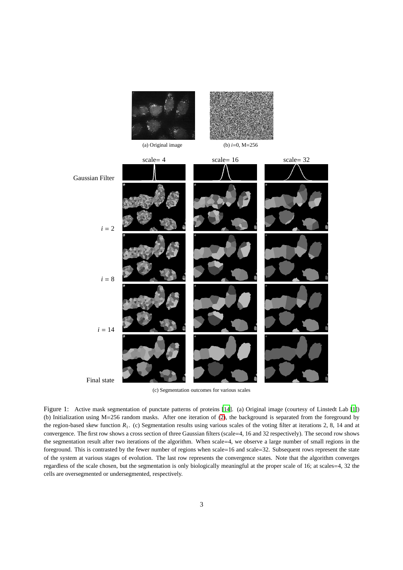<span id="page-2-0"></span>

(c) Segmentation outcomes for various scales

Figure 1: Active mask segmentation of punctate patterns of proteins [\[14](#page-9-0)]. (a) Original image (courtesy of Linstedt Lab [\[1\]](#page-9-8)) (b) Initialization using M=256 random masks. After one iteration of [\(2\)](#page-1-0), the background is separated from the foreground by the region-based skew function  $R_1$ . (c) Segmentation results using various scales of the voting filter at iterations 2, 8, 14 and at convergence. The first row shows a cross section of three Gaussian filters (scale=4, 16 and 32 respectively). The second row shows the segmentation result after two iterations of the algorithm. When scale=4, we observe a large number of small regions in the foreground. This is contrasted by the fewer number of regions when scale=16 and scale=32. Subsequent rows represent the state of the system at various stages of evolution. The last row represents the convergence states. Note that the algorithm converges regardless of the scale chosen, but the segmentation is only biologically meaningful at the proper scale of 16; at scales=4, 32 the cells are oversegmented or undersegmented, respectively.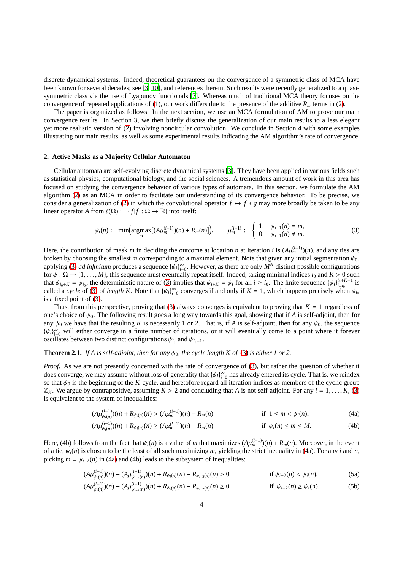discrete dynamical systems. Indeed, theoretical guarantees on the convergence of a symmetric class of MCA have been known for several decades; see [\[3,](#page-9-9) [10\]](#page-9-10), and references therein. Such results were recently generalized to a quasisymmetric class via the use of Lyapunov functionals [\[7\]](#page-9-11). Whereas much of traditional MCA theory focuses on the convergence of repeated applications of [\(1\)](#page-0-0), our work differs due to the presence of the additive  $R_m$  terms in [\(2\)](#page-1-0).

The paper is organized as follows. In the next section, we use an MCA formulation of AM to prove our main convergence results. In Section 3, we then briefly discuss the generalization of our main results to a less elegant yet more realistic version of [\(2\)](#page-1-0) involving noncircular convolution. We conclude in Section 4 with some examples illustrating our main results, as well as some experimental results indicating the AM algorithm's rate of convergence.

# **2. Active Masks as a Majority Cellular Automaton**

Cellular automata are self-evolving discrete dynamical systems [\[3\]](#page-9-9). They have been applied in various fields such as statistical physics, computational biology, and the social sciences. A tremendous amount of work in this area has focused on studying the convergence behavior of various types of automata. In this section, we formulate the AM algorithm [\(2\)](#page-1-0) as an MCA in order to facilitate our understanding of its convergence behavior. To be precise, we consider a generalization of [\(2\)](#page-1-0) in which the convolutional operator  $f \mapsto f * g$  may more broadly be taken to be any linear operator *A* from  $\ell(\Omega) := \{f | f : \Omega \to \mathbb{R}\}\$ into itself:

<span id="page-3-0"></span>
$$
\psi_i(n) := \min\Big(\underset{m}{\operatorname{argmax}}\big[(A\mu_m^{(i-1)})(n) + R_m(n)\big]\Big), \qquad \mu_m^{(i-1)} := \begin{cases} 1, & \psi_{i-1}(n) = m, \\ 0, & \psi_{i-1}(n) \neq m. \end{cases} \tag{3}
$$

Here, the contribution of mask *m* in deciding the outcome at location *n* at iteration *i* is  $(A\mu_m^{(i-1)})(n)$ , and any ties are broken by choosing the smallest *m* corresponding to a maximal element. Note that given any initial segmentation  $\psi_0$ , applying [\(3\)](#page-3-0) *ad infinitum* produces a sequence  $\{\psi_i\}_{i=0}^{\infty}$ . However, as there are only  $M^N$  distinct possible configurations for  $\psi : \Omega \to \{1, \ldots, M\}$ , this sequence must eventually repeat itself. Indeed, taking minimal indices  $i_0$  and  $K > 0$  such that  $\psi_{i_0+K} = \psi_{i_0}$ , the deterministic nature of [\(3\)](#page-3-0) implies that  $\psi_{i+K} = \psi_i$  for all  $i \ge i_0$ . The finite sequence  ${\{\psi_i\}}_{i=i_0}^{i_0+K-1}$  is called a *cycle* of [\(3\)](#page-3-0) of *length K*. Note that  $\{\psi_i\}_{i=0}^{\infty}$  converges if and only if  $K = 1$ , which happens precisely when  $\psi_{i_0}$ is a fixed point of [\(3\)](#page-3-0).

Thus, from this perspective, proving that [\(3\)](#page-3-0) always converges is equivalent to proving that  $K = 1$  regardless of one's choice of  $\psi_0$ . The following result goes a long way towards this goal, showing that if *A* is self-adjoint, then for any  $\psi_0$  we have that the resulting *K* is necessarily 1 or 2. That is, if *A* is self-adjoint, then for any  $\psi_0$ , the sequence  ${\{\psi_i\}}_{i=0}^{\infty}$  will either converge in a finite number of iterations, or it will eventually come to a point where it forever oscillates between two distinct configurations  $\psi_{i_0}$  and  $\psi_{i_0+1}$ .

# <span id="page-3-4"></span>**Theorem 2.1.** *If A is self-adjoint, then for any*  $\psi_0$ *, the cycle length K of* [\(3\)](#page-3-0) *is either 1 or 2.*

*Proof.* As we are not presently concerned with the rate of convergence of [\(3\)](#page-3-0), but rather the question of whether it does converge, we may assume without loss of generality that  $\{\psi_i\}_{i=0}^\infty$  has already entered its cycle. That is, we reindex so that  $\psi_0$  is the beginning of the *K*-cycle, and heretofore regard all iteration indices as members of the cyclic group  $\mathbb{Z}_K$ . We argue by contrapositive, assuming  $K > 2$  and concluding that *A* is not self-adjoint. For any  $i = 1, \ldots, K$ , [\(3\)](#page-3-0) is equivalent to the system of inequalities:

<span id="page-3-2"></span><span id="page-3-1"></span>
$$
(A\mu_{\psi_i(n)}^{(i-1)})(n) + R_{\psi_i(n)}(n) > (A\mu_m^{(i-1)})(n) + R_m(n) \qquad \text{if } 1 \le m < \psi_i(n), \tag{4a}
$$

<span id="page-3-3"></span>
$$
(A\mu_{\psi_i(n)}^{(i-1)})(n) + R_{\psi_i(n)}(n) \ge (A\mu_m^{(i-1)})(n) + R_m(n) \qquad \text{if } \psi_i(n) \le m \le M. \tag{4b}
$$

Here, [\(4b\)](#page-3-1) follows from the fact that  $\psi_i(n)$  is a value of *m* that maximizes  $(A\mu_m^{(i-1)})(n) + R_m(n)$ . Moreover, in the event of a tie,  $\psi_i(n)$  is chosen to be the least of all such maximizing *m*, yielding the strict inequality in [\(4a\)](#page-3-2). For any *i* and *n*, picking  $m = \psi_{i-2}(n)$  in [\(4a\)](#page-3-2) and [\(4b\)](#page-3-1) leads to the subsystem of inequalities:

$$
(A\mu_{\psi_i(n)}^{(i-1)})(n) - (A\mu_{\psi_{i-2}(n)}^{(i-1)})(n) + R_{\psi_i(n)}(n) - R_{\psi_{i-2}(n)}(n) > 0 \qquad \text{if } \psi_{i-2}(n) < \psi_i(n), \tag{5a}
$$

$$
(A\mu_{\psi_i(n)}^{(i-1)})(n) - (A\mu_{\psi_{i-2}(n)}^{(i-1)})(n) + R_{\psi_i(n)}(n) - R_{\psi_{i-2}(n)}(n) \ge 0 \qquad \text{if } \psi_{i-2}(n) \ge \psi_i(n). \tag{5b}
$$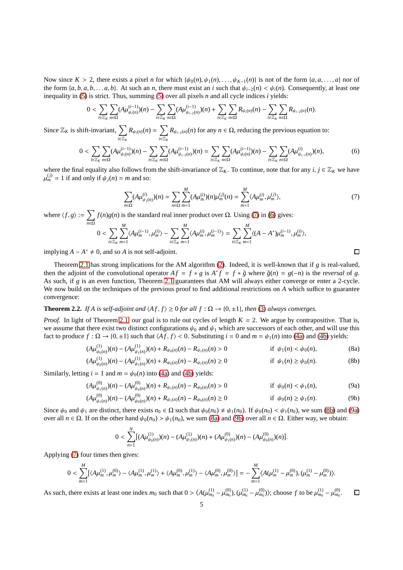Now since  $K > 2$ , there exists a pixel *n* for which  $\{\psi_0(n), \psi_1(n), \dots, \psi_{K-1}(n)\}$  is not of the form  $\{a, a, \dots, a\}$  nor of the form  $\{a, b, a, b, \ldots a, b\}$ . At such an *n*, there must exist an *i* such that  $\psi_{i-2}(n) < \psi_i(n)$ . Consequently, at least one inequality in [\(5\)](#page-3-3) is strict. Thus, summing [\(5\)](#page-3-3) over all pixels *n* and all cycle indices *i* yields:

$$
0<\sum_{i\in\mathbb{Z}_K}\sum_{n\in\Omega}(A\mu_{\psi_i(n)}^{(i-1)})(n)-\sum_{i\in\mathbb{Z}_K}\sum_{n\in\Omega}(A\mu_{\psi_{i-2}(n)}^{(i-1)})(n)+\sum_{i\in\mathbb{Z}_K}\sum_{n\in\Omega}R_{\psi_i(n)}(n)-\sum_{i\in\mathbb{Z}_K}\sum_{n\in\Omega}R_{\psi_{i-2}(n)}(n).
$$

Since  $\mathbb{Z}_K$  is shift-invariant,  $\sum$ *i*∈Z*<sup>K</sup>*  $R_{\psi_i(n)}(n) = \sum$ *i*∈Z*<sup>K</sup>*  $R_{\psi_{i-2}(n)}(n)$  for any  $n \in \Omega$ , reducing the previous equation to:

<span id="page-4-1"></span>
$$
0 < \sum_{i \in \mathbb{Z}_K} \sum_{n \in \Omega} (A \mu_{\psi_i(n)}^{(i-1)})(n) - \sum_{i \in \mathbb{Z}_K} \sum_{n \in \Omega} (A \mu_{\psi_{i-2}(n)}^{(i-1)})(n) = \sum_{i \in \mathbb{Z}_K} \sum_{n \in \Omega} (A \mu_{\psi_i(n)}^{(i-1)})(n) - \sum_{i \in \mathbb{Z}_K} \sum_{n \in \Omega} (A \mu_{\psi_{i-1}(n)}^{(i)})(n), \tag{6}
$$

where the final equality also follows from the shift-invariance of  $\mathbb{Z}_K$ . To continue, note that for any *i*, *j* ∈  $\mathbb{Z}_K$  we have  $\mu_m^{(j)} = 1$  if and only if  $\psi_j(n) = m$  and so:

<span id="page-4-0"></span>
$$
\sum_{n\in\Omega} (A\mu_{\psi_j(n)}^{(i)})(n) = \sum_{n\in\Omega} \sum_{m=1}^M (A\mu_m^{(i)})(n)\mu_m^{(j)}(n) = \sum_{m=1}^M \langle A\mu_m^{(i)}, \mu_m^{(j)}\rangle, \tag{7}
$$

where  $\langle f, g \rangle := \sum$ *n*∈Ω  $f(n)g(n)$  is the standard real inner product over  $\Omega$ . Using [\(7\)](#page-4-0) in [\(6\)](#page-4-1) gives: *M M M*

$$
0 < \sum_{i \in \mathbb{Z}_K} \sum_{m=1}^M \langle A \mu_m^{(i-1)}, \mu_m^{(i)} \rangle - \sum_{i \in \mathbb{Z}_K} \sum_{m=1}^M \langle A \mu_m^{(i)}, \mu_m^{(i-1)} \rangle = \sum_{i \in \mathbb{Z}_K} \sum_{m=1}^M \langle (A - A^*) \mu_m^{(i-1)}, \mu_m^{(i)} \rangle,
$$

implying  $A - A^* \neq 0$ , and so *A* is not self-adjoint.

Theorem [2.1](#page-3-4) has strong implications for the AM algorithm [\(2\)](#page-1-0). Indeed, it is well-known that if *g* is real-valued, then the adjoint of the convolutional operator  $Af = f * g$  is  $A * f = f * \tilde{g}$  where  $\tilde{g}(n) = g(-n)$  is the *reversal* of *g*. As such, if *g* is an even function, Theorem [2.1](#page-3-4) guarantees that AM will always either converge or enter a 2-cycle. We now build on the techniques of the previous proof to find additional restrictions on *A* which suffice to guarantee convergence:

# <span id="page-4-6"></span>**Theorem 2.2.** *If A is self-adjoint and*  $\langle Af, f \rangle \ge 0$  *for all*  $f : \Omega \rightarrow \{0, \pm 1\}$ *, then* [\(3\)](#page-3-0) *always converges.*

*Proof.* In light of Theorem [2.1,](#page-3-4) our goal is to rule out cycles of length  $K = 2$ . We argue by contrapositive. That is, we assume that there exist two distinct configurations  $\psi_0$  and  $\psi_1$  which are successors of each other, and will use this fact to produce  $f : \Omega \to \{0, \pm 1\}$  such that  $\langle Af, f \rangle < 0$ . Substituting  $i = 0$  and  $m = \psi_1(n)$  into [\(4a\)](#page-3-2) and [\(4b\)](#page-3-1) yields:

$$
(A\mu_{\psi_0(n)}^{(1)})(n) - (A\mu_{\psi_1(n)}^{(1)})(n) + R_{\psi_0(n)}(n) - R_{\psi_1(n)}(n) > 0 \qquad \text{if } \psi_1(n) < \psi_0(n), \tag{8a}
$$

$$
(A\mu_{\psi_0(n)}^{(1)})(n) - (A\mu_{\psi_1(n)}^{(1)})(n) + R_{\psi_0(n)}(n) - R_{\psi_1(n)}(n) \ge 0 \qquad \text{if } \psi_1(n) \ge \psi_0(n). \tag{8b}
$$

Similarly, letting  $i = 1$  and  $m = \psi_0(n)$  into [\(4a\)](#page-3-2) and [\(4b\)](#page-3-1) yields:

$$
(A\mu_{\psi_1(n)}^{(0)})(n) - (A\mu_{\psi_0(n)}^{(0)})(n) + R_{\psi_1(n)}(n) - R_{\psi_0(n)}(n) > 0 \qquad \text{if } \psi_0(n) < \psi_1(n), \tag{9a}
$$

$$
(A\mu_{\psi_1(n)}^{(0)})(n) - (A\mu_{\psi_0(n)}^{(0)})(n) + R_{\psi_1(n)}(n) - R_{\psi_0(n)}(n) \ge 0 \qquad \text{if } \psi_0(n) \ge \psi_1(n). \tag{9b}
$$

Since  $\psi_0$  and  $\psi_1$  are distinct, there exists  $n_0 \in \Omega$  such that  $\psi_0(n_0) \neq \psi_1(n_0)$ . If  $\psi_0(n_0) < \psi_1(n_0)$ , we sum [\(8b\)](#page-4-2) and [\(9a\)](#page-4-3) over all *n* ∈ Ω. If on the other hand  $ψ_0(n_0) > ψ_1(n_0)$ , we sum [\(8a\)](#page-4-4) and [\(9b\)](#page-4-5) over all *n* ∈ Ω. Either way, we obtain:

$$
0<\sum_{n=1}^N[(A\mu_{\psi_0(n)}^{(1)})(n)-(A\mu_{\psi_1(n)}^{(1)})(n)+(A\mu_{\psi_1(n)}^{(0)})(n)-(A\mu_{\psi_0(n)}^{(0)})(n)].
$$

Applying [\(7\)](#page-4-0) four times then gives:

$$
0 < \sum_{m=1}^{M} [\langle A\mu_m^{(1)}, \mu_m^{(0)} \rangle - \langle A\mu_m^{(1)}, \mu_m^{(1)} \rangle + \langle A\mu_m^{(0)}, \mu_m^{(1)} \rangle - \langle A\mu_m^{(0)}, \mu_m^{(0)} \rangle] = - \sum_{m=1}^{M} \langle A(\mu_m^{(1)} - \mu_m^{(0)}), (\mu_m^{(1)} - \mu_m^{(0)}) \rangle.
$$

As such, there exists at least one index  $m_0$  such that  $0 > \langle A(\mu_{m_0}^{(1)} - \mu_{m_0}^{(0)}), (\mu_{m_0}^{(1)} - \mu_{m_0}^{(0)})\rangle$ ; choose *f* to be  $\mu_{m_0}^{(1)} - \mu_{m_0}^{(0)}$ .  $\Box$ 

<span id="page-4-5"></span><span id="page-4-4"></span><span id="page-4-3"></span><span id="page-4-2"></span> $\Box$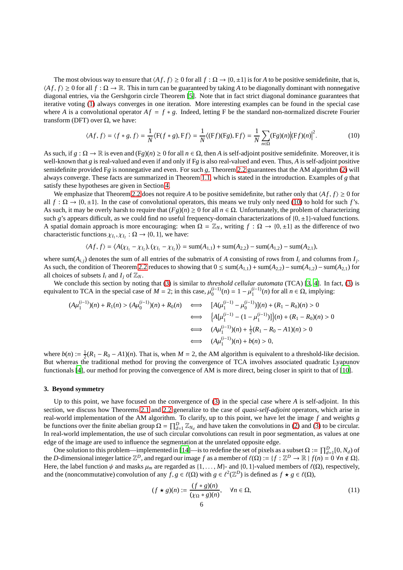The most obvious way to ensure that  $\langle Af, f \rangle \ge 0$  for all  $f : \Omega \to \{0, \pm 1\}$  is for *A* to be positive semidefinite, that is,  $\langle Af, f \rangle \ge 0$  for all  $f : \Omega \to \mathbb{R}$ . This in turn can be guaranteed by taking *A* to be diagonally dominant with nonnegative diagonal entries, via the Gershgorin circle Theorem [\[5](#page-9-12)]. Note that in fact strict diagonal dominance guarantees that iterative voting [\(1\)](#page-0-0) always converges in one iteration. More interesting examples can be found in the special case where *A* is a convolutional operator  $Af = f * g$ . Indeed, letting F be the standard non-normalized discrete Fourier transform (DFT) over  $Ω$ , we have:

<span id="page-5-0"></span>
$$
\langle Af, f \rangle = \langle f * g, f \rangle = \frac{1}{N} \langle F(f * g), Ff \rangle = \frac{1}{N} \langle (Ff)(Fg), Ff \rangle = \frac{1}{N} \sum_{n \in \Omega} (Fg)(n) |(Ff)(n)|^2.
$$
 (10)

As such, if  $g : \Omega \to \mathbb{R}$  is even and  $(Fg)(n) \ge 0$  for all  $n \in \Omega$ , then A is self-adjoint positive semidefinite. Moreover, it is well-known that *g* is real-valued and even if and only if F*g* is also real-valued and even. Thus, *A* is self-adjoint positive semidefinite provided F*g* is nonnegative and even. For such *g*, Theorem [2.2](#page-4-6) guarantees that the AM algorithm [\(2\)](#page-1-0) will always converge. These facts are summarized in Theorem [1.1,](#page-1-1) which is stated in the introduction. Examples of *g* that satisfy these hypotheses are given in Section [4.](#page-7-0)

We emphasize that Theorem [2.2](#page-4-6) does not require *A* to be positive semidefinite, but rather only that  $\langle Af, f \rangle \ge 0$  for all  $f : \Omega \to \{0, \pm 1\}$ . In the case of convolutional operators, this means we truly only need [\(10\)](#page-5-0) to hold for such *f*'s. As such, it may be overly harsh to require that  $(Fg)(n) \ge 0$  for all  $n \in \Omega$ . Unfortunately, the problem of characterizing such *g*'s appears difficult, as we could find no useful frequency-domain characterizations of  $\{0, \pm 1\}$ -valued functions. A spatial domain approach is more encouraging: when  $\Omega = \mathbb{Z}_N$ , writing  $f : \Omega \to \{0, \pm 1\}$  as the difference of two characteristic functions  $\chi_{I_1}, \chi_{I_2} : \Omega \to \{0, 1\}$ , we have:

$$
\langle Af, f \rangle = \langle A(\chi_{I_1} - \chi_{I_2}), (\chi_{I_1} - \chi_{I_2}) \rangle = \text{sum}(A_{1,1}) + \text{sum}(A_{2,2}) - \text{sum}(A_{1,2}) - \text{sum}(A_{2,1}),
$$

where sum( $A_{i,j}$ ) denotes the sum of all entries of the submatrix of *A* consisting of rows from  $I_i$  and columns from  $I_j$ . As such, the condition of Theorem [2.2](#page-4-6) reduces to showing that  $0 \le \text{sum}(A_{1,1}) + \text{sum}(A_{2,2}) - \text{sum}(A_{1,2}) - \text{sum}(A_{2,1})$  for all choices of subsets  $I_i$  and  $I_j$  of  $\mathbb{Z}_N$ .

We conclude this section by noting that [\(3\)](#page-3-0) is similar to *threshold cellular automata* (TCA) [\[3](#page-9-9), [4\]](#page-9-13). In fact, [\(3\)](#page-3-0) is equivalent to TCA in the special case of  $M = 2$ ; in this case,  $\mu_0^{(i-1)}$  $\mu_0^{(i-1)}(n) = 1 - \mu_1^{(i-1)}$  $\prod_{1}^{(i-1)}(n)$  for all  $n \in \Omega$ , implying:

$$
(A\mu_1^{(i-1)})(n) + R_1(n) > (A\mu_0^{(i-1)})(n) + R_0(n) \iff [A(\mu_1^{(i-1)} - \mu_0^{(i-1)})](n) + (R_1 - R_0)(n) > 0
$$
\n
$$
\iff \{A[\mu_1^{(i-1)} - (1 - \mu_1^{(i-1)})]\}(n) + (R_1 - R_0)(n) > 0
$$
\n
$$
\iff (A\mu_1^{(i-1)})(n) + \frac{1}{2}(R_1 - R_0 - A1)(n) > 0
$$
\n
$$
\iff (A\mu_1^{(i-1)})(n) + b(n) > 0,
$$

where  $b(n) := \frac{1}{2}(R_1 - R_0 - A1)(n)$ . That is, when  $M = 2$ , the AM algorithm is equivalent to a threshold-like decision. But whereas the traditional method for proving the convergence of TCA involves associated quadratic Lyapunov functionals [\[4\]](#page-9-13), our method for proving the convergence of AM is more direct, being closer in spirit to that of [\[10](#page-9-10)].

#### <span id="page-5-2"></span>**3. Beyond symmetry**

Up to this point, we have focused on the convergence of [\(3\)](#page-3-0) in the special case where *A* is self-adjoint. In this section, we discuss how Theorems [2.1](#page-3-4) and [2.2](#page-4-6) generalize to the case of *quasi-self-adjoint* operators, which arise in real-world implementation of the AM algorithm. To clarify, up to this point, we have let the image *f* and weights *g* be functions over the finite abelian group  $\Omega = \prod_{d=1}^D \mathbb{Z}_{N_d}$  and have taken the convolutions in [\(2\)](#page-1-0) and [\(3\)](#page-3-0) to be circular. In real-world implementation, the use of such circular convolutions can result in poor segmentation, as values at one edge of the image are used to influence the segmentation at the unrelated opposite edge.

One solution to this problem—implemented in [\[14](#page-9-0)]—is to redefine the set of pixels as a subset  $\Omega := \prod_{d=1}^{D} [0, N_d)$  of the *D*-dimensional integer lattice  $\mathbb{Z}^D$ , and regard our image f as a member of  $\ell(\Omega) := \{f : \mathbb{Z}^D \to \mathbb{R} \mid f(n) = 0 \,\forall n \notin \Omega\}$ . Here, the label function  $\psi$  and masks  $\mu_m$  are regarded as  $\{1, \ldots, M\}$ - and  $\{0, 1\}$ -valued members of  $\ell(\Omega)$ , respectively, and the (noncommutative) convolution of any  $f, g \in \ell(\Omega)$  with  $g \in \ell^2(\mathbb{Z}^D)$  is defined as  $f \star g \in \ell(\Omega)$ ,

<span id="page-5-1"></span>
$$
(f \star g)(n) := \frac{(f * g)(n)}{(\chi_{\Omega} * g)(n)}, \quad \forall n \in \Omega,
$$
\n(11)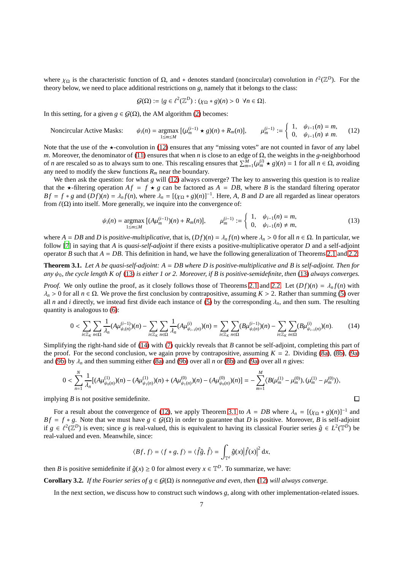where  $\chi_{\Omega}$  is the characteristic function of  $\Omega$ , and \* denotes standard (noncircular) convolution in  $\ell^2(\mathbb{Z}^D)$ . For the theory below, we need to place additional restrictions on *g*, namely that it belongs to the class:

$$
\mathcal{G}(\Omega) := \{ g \in \ell^2(\mathbb{Z}^D) : (\chi_{\Omega} * g)(n) > 0 \ \forall n \in \Omega \}.
$$

In this setting, for a given  $g \in G(\Omega)$ , the AM algorithm [\(2\)](#page-1-0) becomes:

<span id="page-6-0"></span>Noncircular Active Masks: 
$$
\psi_i(n) = \underset{1 \le m \le M}{\text{argmax}} \left[ (\mu_m^{(i-1)} \star g)(n) + R_m(n) \right], \qquad \mu_m^{(i-1)} := \begin{cases} 1, & \psi_{i-1}(n) = m, \\ 0, & \psi_{i-1}(n) \ne m. \end{cases}
$$
 (12)

Note that the use of the  $\star$ -convolution in [\(12\)](#page-6-0) ensures that any "missing votes" are not counted in favor of any label *m*. Moreover, the denominator of [\(11\)](#page-5-1) ensures that when *n* is close to an edge of Ω, the weights in the *g*-neighborhood of *n* are rescaled so as to always sum to one. This rescaling ensures that  $\sum_{m=1}^{M} (\mu_m^{(i)} \star g)(n) = 1$  for all  $n \in \Omega$ , avoiding any need to modify the skew functions  $R_m$  near the boundary.

We then ask the question: for what *g* will [\(12\)](#page-6-0) always converge? The key to answering this question is to realize that the  $\star$ -filtering operation  $Af = f \star g$  can be factored as  $A = DB$ , where B is the standard filtering operator  $Bf = f * g$  and  $(Df)(n) = \lambda_n f(n)$ , where  $\lambda_n = [(\chi_{\Omega} * g)(n)]^{-1}$ . Here, *A*, *B* and *D* are all regarded as linear operators from  $\ell(\Omega)$  into itself. More generally, we inquire into the convergence of:

<span id="page-6-1"></span>
$$
\psi_i(n) = \underset{1 \le m \le M}{\text{argmax}} \left[ (A\mu_m^{(i-1)})(n) + R_m(n) \right], \qquad \mu_m^{(i-1)} := \begin{cases} 1, & \psi_{i-1}(n) = m, \\ 0, & \psi_{i-1}(n) \ne m, \end{cases}
$$
(13)

where  $A = DB$  and  $D$  is *positive-multiplicative*, that is,  $(Df)(n) = \lambda_n f(n)$  where  $\lambda_n > 0$  for all  $n \in \Omega$ . In particular, we follow [\[7\]](#page-9-11) in saying that *A* is *quasi-self-adjoint* if there exists a positive-multiplicative operator *D* and a self-adjoint operator *B* such that  $A = DB$ . This definition in hand, we have the following generalization of Theorems [2.1](#page-3-4) and [2.2:](#page-4-6)

<span id="page-6-3"></span>**Theorem 3.1.** *Let A be quasi-self-adjoint: A* = *DB where D is positive-multiplicative and B is self-adjoint. Then for any* ψ0*, the cycle length K of* [\(13\)](#page-6-1) *is either 1 or 2. Moreover, if B is positive-semidefinite, then* [\(13\)](#page-6-1) *always converges.*

*Proof.* We only outline the proof, as it closely follows those of Theorems [2.1](#page-3-4) and [2.2.](#page-4-6) Let  $(Df)(n) = \lambda_n f(n)$  with  $λ<sub>n</sub>$  > 0 for all *n* ∈ Ω. We prove the first conclusion by contrapositive, assuming *K* > 2. Rather than summing [\(5\)](#page-3-3) over all *n* and *i* directly, we instead first divide each instance of [\(5\)](#page-3-3) by the corresponding  $\lambda_n$ , and then sum. The resulting quantity is analogous to [\(6\)](#page-4-1):

<span id="page-6-2"></span>
$$
0 < \sum_{i \in \mathbb{Z}_K} \sum_{n \in \Omega} \frac{1}{\lambda_n} (A \mu_{\psi_i(n)}^{(i-1)})(n) - \sum_{i \in \mathbb{Z}_K} \sum_{n \in \Omega} \frac{1}{\lambda_n} (A \mu_{\psi_{i-1}(n)}^{(i)})(n) = \sum_{i \in \mathbb{Z}_K} \sum_{n \in \Omega} (B \mu_{\psi_i(n)}^{(i-1)})(n) - \sum_{i \in \mathbb{Z}_K} \sum_{n \in \Omega} (B \mu_{\psi_{i-1}(n)}^{(i)})(n). \tag{14}
$$

Simplifying the right-hand side of [\(14\)](#page-6-2) with [\(7\)](#page-4-0) quickly reveals that *B* cannot be self-adjoint, completing this part of the proof. For the second conclusion, we again prove by contrapositive, assuming  $K = 2$ . Dividing [\(8a\)](#page-4-4), [\(8b\)](#page-4-2), [\(9a\)](#page-4-3) and [\(9b\)](#page-4-5) by  $\lambda_n$  and then summing either [\(8a\)](#page-4-4) and (9b) over all *n* or [\(8b\)](#page-4-2) and [\(9a\)](#page-4-3) over all *n* gives:

$$
0<\sum_{n=1}^N\frac{1}{\lambda_n}[(A\mu_{\psi_0(n)}^{(1)})(n)-(A\mu_{\psi_1(n)}^{(1)})(n)+(A\mu_{\psi_1(n)}^{(0)})(n)-(A\mu_{\psi_0(n)}^{(0)})(n)]=-\sum_{m=1}^M\langle B(\mu_m^{(1)}-\mu_m^{(0)}),(\mu_m^{(1)}-\mu_m^{(0)})\rangle,
$$

 $\Box$ 

implying *B* is not positive semidefinite.

For a result about the convergence of [\(12\)](#page-6-0), we apply Theorem [3.1](#page-6-3) to  $A = DB$  where  $\lambda_n = [(\chi_{\Omega} * g)(n)]^{-1}$  and  $Bf = f * g$ . Note that we must have  $g \in G(\Omega)$  in order to guarantee that *D* is positive. Moreover, *B* is self-adjoint if  $g \in \ell^2(\mathbb{Z}^D)$  is even; since *g* is real-valued, this is equivalent to having its classical Fourier series  $\hat{g} \in L^2(\mathbb{T}^D)$  be real-valued and even. Meanwhile, since:

$$
\langle Bf, f \rangle = \langle f * g, f \rangle = \langle \hat{f}\hat{g}, \hat{f} \rangle = \int_{\mathbb{T}^d} \hat{g}(x) \big| \hat{f}(x) \big|^2 dx,
$$

then *B* is positive semidefinite if  $\hat{g}(x) \ge 0$  for almost every  $x \in \mathbb{T}^D$ . To summarize, we have:

<span id="page-6-4"></span>**Corollary 3.2.** *If the Fourier series of*  $g \in G(\Omega)$  *is nonnegative and even, then* [\(12\)](#page-6-0) *will always converge.* 

In the next section, we discuss how to construct such windows *g*, along with other implementation-related issues.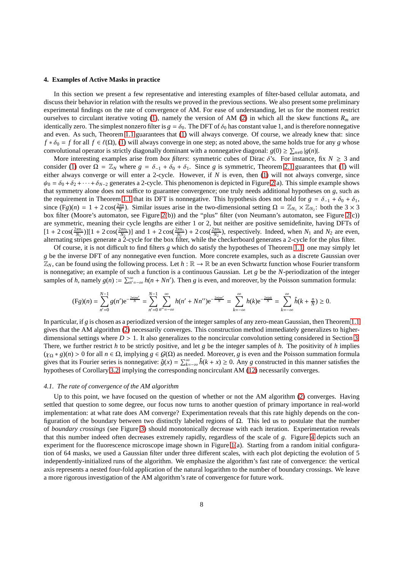#### <span id="page-7-0"></span>**4. Examples of Active Masks in practice**

In this section we present a few representative and interesting examples of filter-based cellular automata, and discuss their behavior in relation with the results we proved in the previous sections. We also present some preliminary experimental findings on the rate of convergence of AM. For ease of understanding, let us for the moment restrict ourselves to circulant iterative voting [\(1\)](#page-0-0), namely the version of AM [\(2\)](#page-1-0) in which all the skew functions  $R_m$  are identically zero. The simplest nonzero filter is  $g = \delta_0$ . The DFT of  $\delta_0$  has constant value 1, and is therefore nonnegative and even. As such, Theorem [1.1](#page-1-1) guarantees that [\(1\)](#page-0-0) will always converge. Of course, we already knew that: since  $f * \delta_0 = f$  for all  $f \in \ell(\Omega)$ , [\(1\)](#page-0-0) will always converge in one step; as noted above, the same holds true for any *g* whose convolutional operator is strictly diagonally dominant with a nonnegative diagonal:  $g(0) \ge \sum_{n\neq 0} |g(n)|$ .

More interesting examples arise from *box filters*: symmetric cubes of Dirac  $\delta$ 's. For instance, fix  $N \geq 3$  and consider [\(1\)](#page-0-0) over  $\Omega = \mathbb{Z}_N$  where  $g = \delta_{-1} + \delta_0 + \delta_1$ . Since g is symmetric, Theorem [2.1](#page-3-4) guarantees that [\(1\)](#page-0-0) will either always converge or will enter a 2-cycle. However, if *N* is even, then [\(1\)](#page-0-0) will not always converge, since  $\psi_0 = \delta_0 + \delta_2 + \cdots + \delta_{N-2}$  generates a 2-cycle. This phenomenon is depicted in Figure [2\(](#page-8-0)a). This simple example shows that symmetry alone does not suffice to guarantee convergence; one truly needs additional hypotheses on *g*, such as the requirement in Theorem [1.1](#page-1-1) that its DFT is nonnegative. This hypothesis does not hold for  $g = \delta_{-1} + \delta_0 + \delta_1$ , since  $(Fg)(n) = 1 + 2\cos(\frac{2\pi n}{N})$ . Similar issues arise in the two-dimensional setting  $\Omega = \mathbb{Z}_{N_1} \times \mathbb{Z}_{N_2}$ : both the 3 × 3 box filter (Moore's automaton, see Figure [2\(](#page-8-0)b)) and the "plus" filter (von Neumann's automaton, see Figure [2\(](#page-8-0)c)) are symmetric, meaning their cycle lengths are either 1 or 2, but neither are positive semidefinite, having DFTs of  $[1 + 2\cos(\frac{2\pi n_1}{N_1})][1 + 2\cos(\frac{2\pi n_2}{N_2})]$  and  $1 + 2\cos(\frac{2\pi n_1}{N_1}) + 2\cos(\frac{2\pi n_2}{N_2})$ , respectively. Indeed, when  $N_1$  and  $N_2$  are even, alternating stripes generate a 2-cycle for the box filter, while the checkerboard generates a 2-cycle for the plus filter.

Of course, it is not difficult to find filters *g* which do satisfy the hypotheses of Theorem [1.1:](#page-1-1) one may simply let *g* be the inverse DFT of any nonnegative even function. More concrete examples, such as a discrete Gaussian over  $\mathbb{Z}_N$ , can be found using the following process. Let  $h : \mathbb{R} \to \mathbb{R}$  be an even Schwartz function whose Fourier transform is nonnegative; an example of such a function is a continuous Gaussian. Let *g* be the *N*-periodization of the integer samples of *h*, namely  $g(n) := \sum_{n'= -\infty}^{\infty} h(n + Nn')$ . Then *g* is even, and moreover, by the Poisson summation formula:

$$
(\text{Fg})(n) = \sum_{n'=0}^{N-1} g(n') e^{-\frac{2\pi i n n'}{N}} = \sum_{n'=0}^{N-1} \sum_{n''=-\infty}^{\infty} h(n' + Nn'') e^{-\frac{2\pi i n n'}{N}} = \sum_{k=-\infty}^{\infty} h(k) e^{-\frac{2\pi i n k}{N}} = \sum_{k=-\infty}^{\infty} \hat{h}(k + \frac{n}{N}) \ge 0.
$$

In particular, if *g* is chosen as a periodized version of the integer samples of any zero-mean Gaussian, then Theorem [1.1](#page-1-1) gives that the AM algorithm [\(2\)](#page-1-0) necessarily converges. This construction method immediately generalizes to higherdimensional settings where  $D > 1$ . It also generalizes to the noncircular convolution setting considered in Section [3.](#page-5-2) There, we further restrict *h* to be strictly positive, and let *g* be the integer samples of *h*. The positivity of *h* implies  $(\chi_{\Omega} * g)(n) > 0$  for all  $n \in \Omega$ , implying  $g \in G(\Omega)$  as needed. Moreover, *g* is even and the Poisson summation formula gives that its Fourier series is nonnegative:  $\hat{g}(x) = \sum_{k=-\infty}^{\infty} \hat{h}(k+x) \ge 0$ . Any *g* constructed in this manner satisfies the hypotheses of Corollary [3.2,](#page-6-4) implying the corresponding noncirculant AM [\(12\)](#page-6-0) necessarily converges.

#### *4.1. The rate of convergence of the AM algorithm*

Up to this point, we have focused on the question of whether or not the AM algorithm [\(2\)](#page-1-0) converges. Having settled that question to some degree, our focus now turns to another question of primary importance in real-world implementation: at what rate does AM converge? Experimentation reveals that this rate highly depends on the configuration of the boundary between two distinctly labeled regions of Ω. This led us to postulate that the number of *boundary crossings* (see Figure [3\)](#page-8-1) should monotonically decrease with each iteration. Experimentation reveals that this number indeed often decreases extremely rapidly, regardless of the scale of *g*. Figure [4](#page-9-14) depicts such an experiment for the fluorescence microscope image shown in Figure [1\(](#page-2-0)a). Starting from a random initial configuration of 64 masks, we used a Gaussian filter under three different scales, with each plot depicting the evolution of 5 independently-initialized runs of the algorithm. We emphasize the algorithm's fast rate of convergence: the vertical axis represents a nested four-fold application of the natural logarithm to the number of boundary crossings. We leave a more rigorous investigation of the AM algorithm's rate of convergence for future work.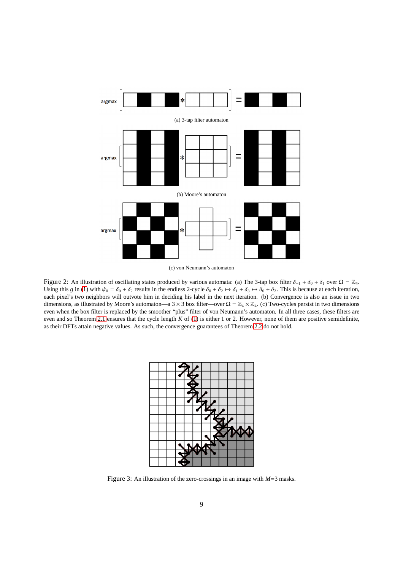<span id="page-8-0"></span>

(c) von Neumann's automaton

<span id="page-8-1"></span>Figure 2: An illustration of oscillating states produced by various automata: (a) The 3-tap box filter  $\delta_{-1} + \delta_0 + \delta_1$  over  $\Omega = \mathbb{Z}_4$ . Using this *g* in [\(1\)](#page-0-0) with  $\psi_0 = \delta_0 + \delta_2$  results in the endless 2-cycle  $\delta_0 + \delta_2 \mapsto \delta_1 + \delta_3 \mapsto \delta_0 + \delta_2$ . This is because at each iteration, each pixel's two neighbors will outvote him in deciding his label in the next iteration. (b) Convergence is also an issue in two dimensions, as illustrated by Moore's automaton—a 3 × 3 box filter—over  $\Omega = \mathbb{Z}_4 \times \mathbb{Z}_4$ . (c) Two-cycles persist in two dimensions even when the box filter is replaced by the smoother "plus" filter of von Neumann's automaton. In all three cases, these filters are even and so Theorem [2.1](#page-3-4) ensures that the cycle length *K* of [\(1\)](#page-0-0) is either 1 or 2. However, none of them are positive semidefinite, as their DFTs attain negative values. As such, the convergence guarantees of Theorem [2.2](#page-4-6) do not hold.



Figure 3: An illustration of the zero-crossings in an image with *M*=3 masks.